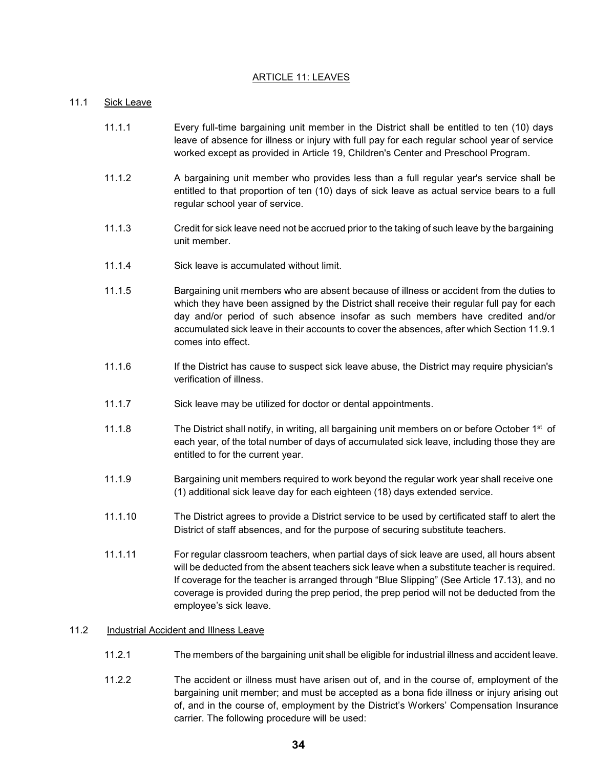# ARTICLE 11: LEAVES

## 11.1 Sick Leave

- 11.1.1 Every full-time bargaining unit member in the District shall be entitled to ten (10) days leave of absence for illness or injury with full pay for each regular school year of service worked except as provided in Article 19, Children's Center and Preschool Program.
- 11.1.2 A bargaining unit member who provides less than a full regular year's service shall be entitled to that proportion of ten (10) days of sick leave as actual service bears to a full regular school year of service.
- 11.1.3 Credit for sick leave need not be accrued prior to the taking of such leave by the bargaining unit member.
- 11.1.4 Sick leave is accumulated without limit.
- 11.1.5 Bargaining unit members who are absent because of illness or accident from the duties to which they have been assigned by the District shall receive their regular full pay for each day and/or period of such absence insofar as such members have credited and/or accumulated sick leave in their accounts to cover the absences, after which Section 11.9.1 comes into effect.
- 11.1.6 If the District has cause to suspect sick leave abuse, the District may require physician's verification of illness.
- 11.1.7 Sick leave may be utilized for doctor or dental appointments.
- 11.1.8 The District shall notify, in writing, all bargaining unit members on or before October 1<sup>st</sup> of each year, of the total number of days of accumulated sick leave, including those they are entitled to for the current year.
- 11.1.9 Bargaining unit members required to work beyond the regular work year shall receive one (1) additional sick leave day for each eighteen (18) days extended service.
- 11.1.10 The District agrees to provide a District service to be used by certificated staff to alert the District of staff absences, and for the purpose of securing substitute teachers.
- 11.1.11 For regular classroom teachers, when partial days of sick leave are used, all hours absent will be deducted from the absent teachers sick leave when a substitute teacher is required. If coverage for the teacher is arranged through "Blue Slipping" (See Article 17.13), and no coverage is provided during the prep period, the prep period will not be deducted from the employee's sick leave.

### 11.2 Industrial Accident and Illness Leave

- 11.2.1 The members of the bargaining unit shall be eligible for industrial illness and accident leave.
- 11.2.2 The accident or illness must have arisen out of, and in the course of, employment of the bargaining unit member; and must be accepted as a bona fide illness or injury arising out of, and in the course of, employment by the District's Workers' Compensation Insurance carrier. The following procedure will be used: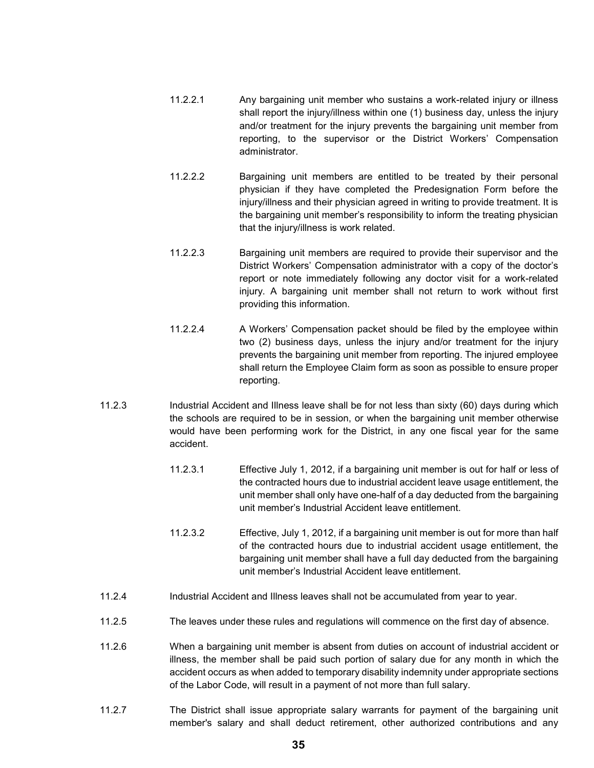- 11.2.2.1 Any bargaining unit member who sustains a work-related injury or illness shall report the injury/illness within one (1) business day, unless the injury and/or treatment for the injury prevents the bargaining unit member from reporting, to the supervisor or the District Workers' Compensation administrator.
- 11.2.2.2 Bargaining unit members are entitled to be treated by their personal physician if they have completed the Predesignation Form before the injury/illness and their physician agreed in writing to provide treatment. It is the bargaining unit member's responsibility to inform the treating physician that the injury/illness is work related.
- 11.2.2.3 Bargaining unit members are required to provide their supervisor and the District Workers' Compensation administrator with a copy of the doctor's report or note immediately following any doctor visit for a work-related injury. A bargaining unit member shall not return to work without first providing this information.
- 11.2.2.4 A Workers' Compensation packet should be filed by the employee within two (2) business days, unless the injury and/or treatment for the injury prevents the bargaining unit member from reporting. The injured employee shall return the Employee Claim form as soon as possible to ensure proper reporting.
- 11.2.3 Industrial Accident and Illness leave shall be for not less than sixty (60) days during which the schools are required to be in session, or when the bargaining unit member otherwise would have been performing work for the District, in any one fiscal year for the same accident.
	- 11.2.3.1 Effective July 1, 2012, if a bargaining unit member is out for half or less of the contracted hours due to industrial accident leave usage entitlement, the unit member shall only have one-half of a day deducted from the bargaining unit member's Industrial Accident leave entitlement.
	- 11.2.3.2 Effective, July 1, 2012, if a bargaining unit member is out for more than half of the contracted hours due to industrial accident usage entitlement, the bargaining unit member shall have a full day deducted from the bargaining unit member's Industrial Accident leave entitlement.
- 11.2.4 Industrial Accident and Illness leaves shall not be accumulated from year to year.
- 11.2.5 The leaves under these rules and regulations will commence on the first day of absence.
- 11.2.6 When a bargaining unit member is absent from duties on account of industrial accident or illness, the member shall be paid such portion of salary due for any month in which the accident occurs as when added to temporary disability indemnity under appropriate sections of the Labor Code, will result in a payment of not more than full salary.
- 11.2.7 The District shall issue appropriate salary warrants for payment of the bargaining unit member's salary and shall deduct retirement, other authorized contributions and any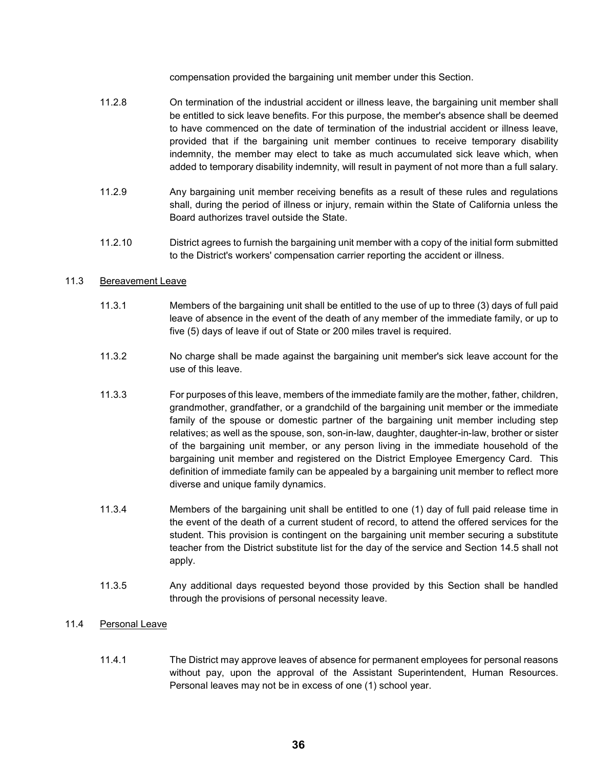compensation provided the bargaining unit member under this Section.

- 11.2.8 On termination of the industrial accident or illness leave, the bargaining unit member shall be entitled to sick leave benefits. For this purpose, the member's absence shall be deemed to have commenced on the date of termination of the industrial accident or illness leave, provided that if the bargaining unit member continues to receive temporary disability indemnity, the member may elect to take as much accumulated sick leave which, when added to temporary disability indemnity, will result in payment of not more than a full salary.
- 11.2.9 Any bargaining unit member receiving benefits as a result of these rules and regulations shall, during the period of illness or injury, remain within the State of California unless the Board authorizes travel outside the State.
- 11.2.10 District agrees to furnish the bargaining unit member with a copy of the initial form submitted to the District's workers' compensation carrier reporting the accident or illness.

# 11.3 Bereavement Leave

- 11.3.1 Members of the bargaining unit shall be entitled to the use of up to three (3) days of full paid leave of absence in the event of the death of any member of the immediate family, or up to five (5) days of leave if out of State or 200 miles travel is required.
- 11.3.2 No charge shall be made against the bargaining unit member's sick leave account for the use of this leave.
- 11.3.3 For purposes of this leave, members of the immediate family are the mother, father, children, grandmother, grandfather, or a grandchild of the bargaining unit member or the immediate family of the spouse or domestic partner of the bargaining unit member including step relatives; as well as the spouse, son, son-in-law, daughter, daughter-in-law, brother or sister of the bargaining unit member, or any person living in the immediate household of the bargaining unit member and registered on the District Employee Emergency Card. This definition of immediate family can be appealed by a bargaining unit member to reflect more diverse and unique family dynamics.
- 11.3.4 Members of the bargaining unit shall be entitled to one (1) day of full paid release time in the event of the death of a current student of record, to attend the offered services for the student. This provision is contingent on the bargaining unit member securing a substitute teacher from the District substitute list for the day of the service and Section 14.5 shall not apply.
- 11.3.5 Any additional days requested beyond those provided by this Section shall be handled through the provisions of personal necessity leave.

### 11.4 Personal Leave

11.4.1 The District may approve leaves of absence for permanent employees for personal reasons without pay, upon the approval of the Assistant Superintendent, Human Resources. Personal leaves may not be in excess of one (1) school year.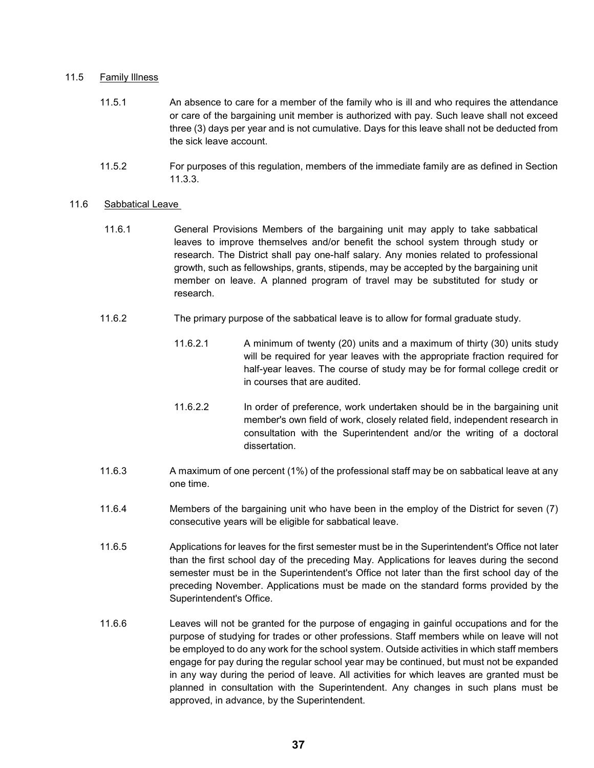## 11.5 Family Illness

- 11.5.1 An absence to care for a member of the family who is ill and who requires the attendance or care of the bargaining unit member is authorized with pay. Such leave shall not exceed three (3) days per year and is not cumulative. Days for this leave shall not be deducted from the sick leave account.
- 11.5.2 For purposes of this regulation, members of the immediate family are as defined in Section 11.3.3.

### 11.6 Sabbatical Leave

- 11.6.1 General Provisions Members of the bargaining unit may apply to take sabbatical leaves to improve themselves and/or benefit the school system through study or research. The District shall pay one-half salary. Any monies related to professional growth, such as fellowships, grants, stipends, may be accepted by the bargaining unit member on leave. A planned program of travel may be substituted for study or research.
- 11.6.2 The primary purpose of the sabbatical leave is to allow for formal graduate study.
	- 11.6.2.1 A minimum of twenty (20) units and a maximum of thirty (30) units study will be required for year leaves with the appropriate fraction required for half-year leaves. The course of study may be for formal college credit or in courses that are audited.
	- 11.6.2.2 In order of preference, work undertaken should be in the bargaining unit member's own field of work, closely related field, independent research in consultation with the Superintendent and/or the writing of a doctoral dissertation.
- 11.6.3 A maximum of one percent (1%) of the professional staff may be on sabbatical leave at any one time.
- 11.6.4 Members of the bargaining unit who have been in the employ of the District for seven (7) consecutive years will be eligible for sabbatical leave.
- 11.6.5 Applications for leaves for the first semester must be in the Superintendent's Office not later than the first school day of the preceding May. Applications for leaves during the second semester must be in the Superintendent's Office not later than the first school day of the preceding November. Applications must be made on the standard forms provided by the Superintendent's Office.
- 11.6.6 Leaves will not be granted for the purpose of engaging in gainful occupations and for the purpose of studying for trades or other professions. Staff members while on leave will not be employed to do any work for the school system. Outside activities in which staff members engage for pay during the regular school year may be continued, but must not be expanded in any way during the period of leave. All activities for which leaves are granted must be planned in consultation with the Superintendent. Any changes in such plans must be approved, in advance, by the Superintendent.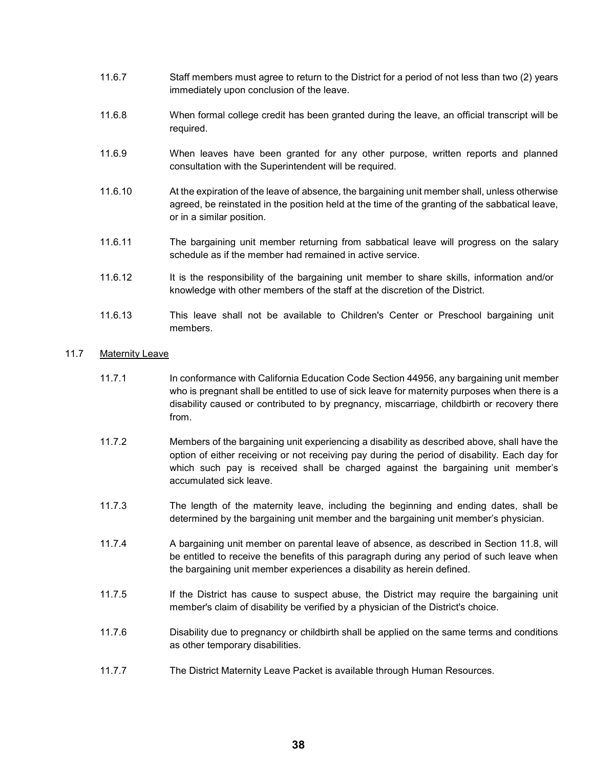- 11.6.7 Staff members must agree to return to the District for a period of not less than two (2) years immediately upon conclusion of the leave.
- 11.6.8 When formal college credit has been granted during the leave, an official transcript will be required.
- 11.6.9 When leaves have been granted for any other purpose, written reports and planned consultation with the Superintendent will be required.
- 11.6.10 At the expiration of the leave of absence, the bargaining unit member shall, unless otherwise agreed, be reinstated in the position held at the time of the granting of the sabbatical leave, or in a similar position.
- 11.6.11 The bargaining unit member returning from sabbatical leave will progress on the salary schedule as if the member had remained in active service.
- 11.6.12 It is the responsibility of the bargaining unit member to share skills, information and/or knowledge with other members of the staff at the discretion of the District.
- 11.6.13 This leave shall not be available to Children's Center or Preschool bargaining unit members.

# 11.7 Maternity Leave

- 11.7.1 In conformance with California Education Code Section 44956, any bargaining unit member who is pregnant shall be entitled to use of sick leave for maternity purposes when there is a disability caused or contributed to by pregnancy, miscarriage, childbirth or recovery there from.
- 11.7.2 Members of the bargaining unit experiencing a disability as described above, shall have the option of either receiving or not receiving pay during the period of disability. Each day for which such pay is received shall be charged against the bargaining unit member's accumulated sick leave.
- 11.7.3 The length of the maternity leave, including the beginning and ending dates, shall be determined by the bargaining unit member and the bargaining unit member's physician.
- 11.7.4 A bargaining unit member on parental leave of absence, as described in Section 11.8, will be entitled to receive the benefits of this paragraph during any period of such leave when the bargaining unit member experiences a disability as herein defined.
- 11.7.5 If the District has cause to suspect abuse, the District may require the bargaining unit member's claim of disability be verified by a physician of the District's choice.
- 11.7.6 Disability due to pregnancy or childbirth shall be applied on the same terms and conditions as other temporary disabilities.
- 11.7.7 The District Maternity Leave Packet is available through Human Resources.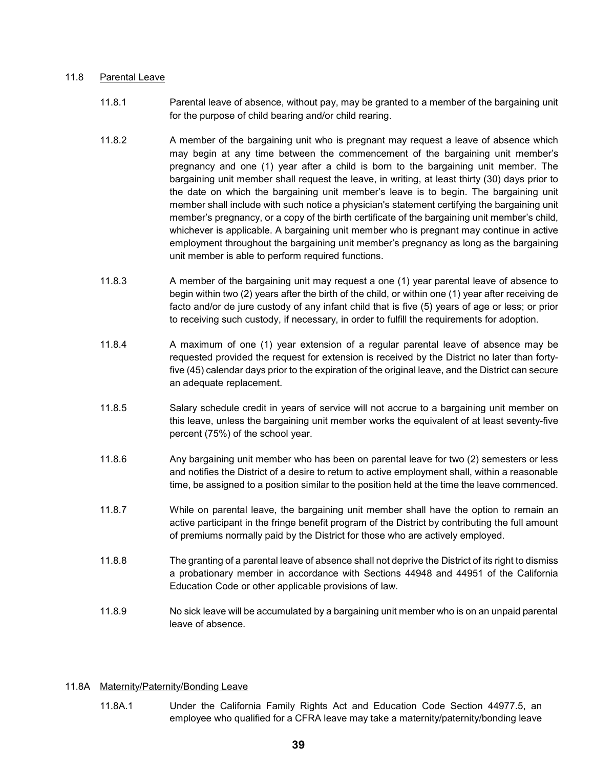# 11.8 Parental Leave

- 11.8.1 Parental leave of absence, without pay, may be granted to a member of the bargaining unit for the purpose of child bearing and/or child rearing.
- 11.8.2 A member of the bargaining unit who is pregnant may request a leave of absence which may begin at any time between the commencement of the bargaining unit member's pregnancy and one (1) year after a child is born to the bargaining unit member. The bargaining unit member shall request the leave, in writing, at least thirty (30) days prior to the date on which the bargaining unit member's leave is to begin. The bargaining unit member shall include with such notice a physician's statement certifying the bargaining unit member's pregnancy, or a copy of the birth certificate of the bargaining unit member's child, whichever is applicable. A bargaining unit member who is pregnant may continue in active employment throughout the bargaining unit member's pregnancy as long as the bargaining unit member is able to perform required functions.
- 11.8.3 A member of the bargaining unit may request a one (1) year parental leave of absence to begin within two (2) years after the birth of the child, or within one (1) year after receiving de facto and/or de jure custody of any infant child that is five (5) years of age or less; or prior to receiving such custody, if necessary, in order to fulfill the requirements for adoption.
- 11.8.4 A maximum of one (1) year extension of a regular parental leave of absence may be requested provided the request for extension is received by the District no later than fortyfive (45) calendar days prior to the expiration of the original leave, and the District can secure an adequate replacement.
- 11.8.5 Salary schedule credit in years of service will not accrue to a bargaining unit member on this leave, unless the bargaining unit member works the equivalent of at least seventy-five percent (75%) of the school year.
- 11.8.6 Any bargaining unit member who has been on parental leave for two (2) semesters or less and notifies the District of a desire to return to active employment shall, within a reasonable time, be assigned to a position similar to the position held at the time the leave commenced.
- 11.8.7 While on parental leave, the bargaining unit member shall have the option to remain an active participant in the fringe benefit program of the District by contributing the full amount of premiums normally paid by the District for those who are actively employed.
- 11.8.8 The granting of a parental leave of absence shall not deprive the District of its right to dismiss a probationary member in accordance with Sections 44948 and 44951 of the California Education Code or other applicable provisions of law.
- 11.8.9 No sick leave will be accumulated by a bargaining unit member who is on an unpaid parental leave of absence.

# 11.8A Maternity/Paternity/Bonding Leave

11.8A.1 Under the California Family Rights Act and Education Code Section 44977.5, an employee who qualified for a CFRA leave may take a maternity/paternity/bonding leave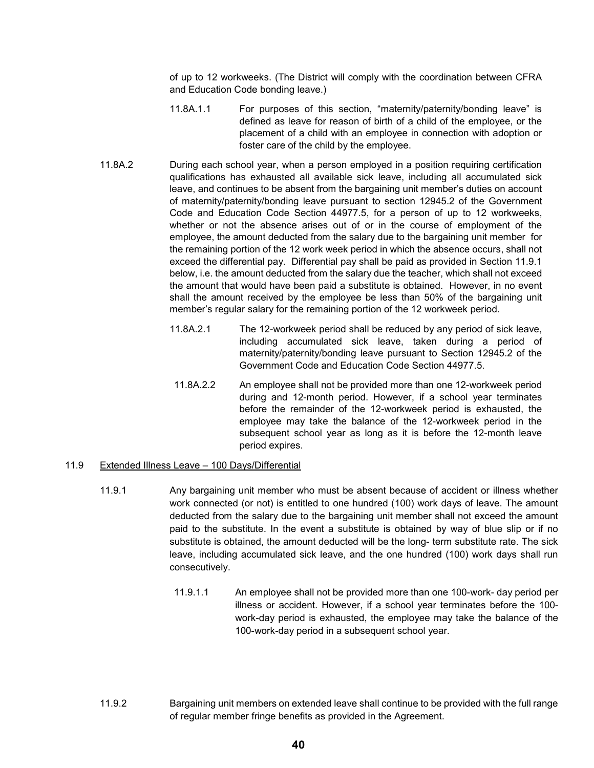of up to 12 workweeks. (The District will comply with the coordination between CFRA and Education Code bonding leave.)

- 11.8A.1.1 For purposes of this section, "maternity/paternity/bonding leave" is defined as leave for reason of birth of a child of the employee, or the placement of a child with an employee in connection with adoption or foster care of the child by the employee.
- 11.8A.2 During each school year, when a person employed in a position requiring certification qualifications has exhausted all available sick leave, including all accumulated sick leave, and continues to be absent from the bargaining unit member's duties on account of maternity/paternity/bonding leave pursuant to section 12945.2 of the Government Code and Education Code Section 44977.5, for a person of up to 12 workweeks, whether or not the absence arises out of or in the course of employment of the employee, the amount deducted from the salary due to the bargaining unit member for the remaining portion of the 12 work week period in which the absence occurs, shall not exceed the differential pay. Differential pay shall be paid as provided in Section 11.9.1 below, i.e. the amount deducted from the salary due the teacher, which shall not exceed the amount that would have been paid a substitute is obtained. However, in no event shall the amount received by the employee be less than 50% of the bargaining unit member's regular salary for the remaining portion of the 12 workweek period.
	- 11.8A.2.1 The 12-workweek period shall be reduced by any period of sick leave, including accumulated sick leave, taken during a period of maternity/paternity/bonding leave pursuant to Section 12945.2 of the Government Code and Education Code Section 44977.5.
	- 11.8A.2.2 An employee shall not be provided more than one 12-workweek period during and 12-month period. However, if a school year terminates before the remainder of the 12-workweek period is exhausted, the employee may take the balance of the 12-workweek period in the subsequent school year as long as it is before the 12-month leave period expires.

# 11.9 Extended Illness Leave – 100 Days/Differential

- 11.9.1 Any bargaining unit member who must be absent because of accident or illness whether work connected (or not) is entitled to one hundred (100) work days of leave. The amount deducted from the salary due to the bargaining unit member shall not exceed the amount paid to the substitute. In the event a substitute is obtained by way of blue slip or if no substitute is obtained, the amount deducted will be the long- term substitute rate. The sick leave, including accumulated sick leave, and the one hundred (100) work days shall run consecutively.
	- 11.9.1.1 An employee shall not be provided more than one 100-work- day period per illness or accident. However, if a school year terminates before the 100 work-day period is exhausted, the employee may take the balance of the 100-work-day period in a subsequent school year.
- 11.9.2 Bargaining unit members on extended leave shall continue to be provided with the full range of regular member fringe benefits as provided in the Agreement.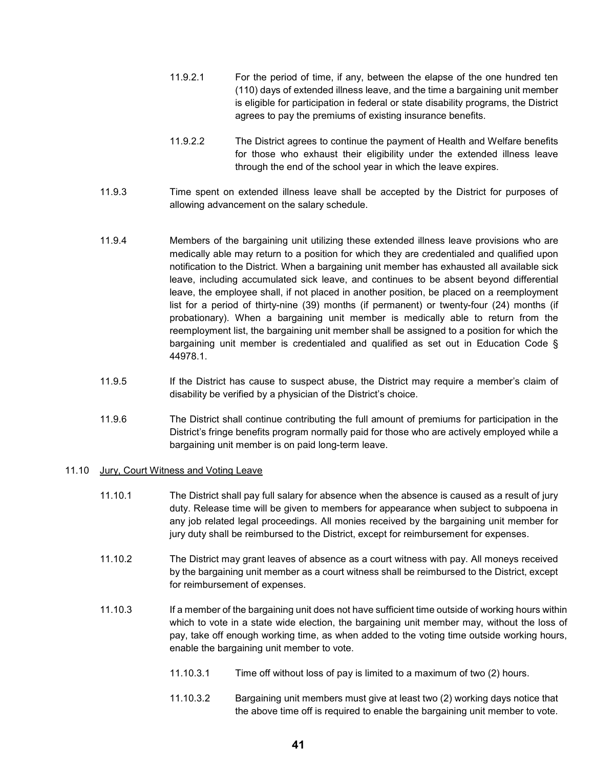- 11.9.2.1 For the period of time, if any, between the elapse of the one hundred ten (110) days of extended illness leave, and the time a bargaining unit member is eligible for participation in federal or state disability programs, the District agrees to pay the premiums of existing insurance benefits.
- 11.9.2.2 The District agrees to continue the payment of Health and Welfare benefits for those who exhaust their eligibility under the extended illness leave through the end of the school year in which the leave expires.
- 11.9.3 Time spent on extended illness leave shall be accepted by the District for purposes of allowing advancement on the salary schedule.
- 11.9.4 Members of the bargaining unit utilizing these extended illness leave provisions who are medically able may return to a position for which they are credentialed and qualified upon notification to the District. When a bargaining unit member has exhausted all available sick leave, including accumulated sick leave, and continues to be absent beyond differential leave, the employee shall, if not placed in another position, be placed on a reemployment list for a period of thirty-nine (39) months (if permanent) or twenty-four (24) months (if probationary). When a bargaining unit member is medically able to return from the reemployment list, the bargaining unit member shall be assigned to a position for which the bargaining unit member is credentialed and qualified as set out in Education Code § 44978.1.
- 11.9.5 If the District has cause to suspect abuse, the District may require a member's claim of disability be verified by a physician of the District's choice.
- 11.9.6 The District shall continue contributing the full amount of premiums for participation in the District's fringe benefits program normally paid for those who are actively employed while a bargaining unit member is on paid long-term leave.

### 11.10 Jury, Court Witness and Voting Leave

- 11.10.1 The District shall pay full salary for absence when the absence is caused as a result of jury duty. Release time will be given to members for appearance when subject to subpoena in any job related legal proceedings. All monies received by the bargaining unit member for jury duty shall be reimbursed to the District, except for reimbursement for expenses.
- 11.10.2 The District may grant leaves of absence as a court witness with pay. All moneys received by the bargaining unit member as a court witness shall be reimbursed to the District, except for reimbursement of expenses.
- 11.10.3 If a member of the bargaining unit does not have sufficient time outside of working hours within which to vote in a state wide election, the bargaining unit member may, without the loss of pay, take off enough working time, as when added to the voting time outside working hours, enable the bargaining unit member to vote.
	- 11.10.3.1 Time off without loss of pay is limited to a maximum of two (2) hours.
	- 11.10.3.2 Bargaining unit members must give at least two (2) working days notice that the above time off is required to enable the bargaining unit member to vote.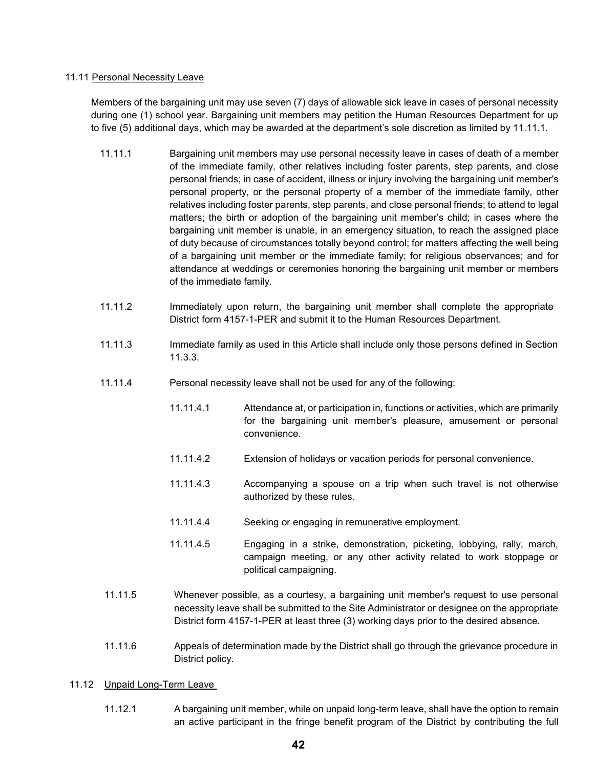## 11.11 Personal Necessity Leave

Members of the bargaining unit may use seven (7) days of allowable sick leave in cases of personal necessity during one (1) school year. Bargaining unit members may petition the Human Resources Department for up to five (5) additional days, which may be awarded at the department's sole discretion as limited by 11.11.1.

- 11.11.1 Bargaining unit members may use personal necessity leave in cases of death of a member of the immediate family, other relatives including foster parents, step parents, and close personal friends; in case of accident, illness or injury involving the bargaining unit member's personal property, or the personal property of a member of the immediate family, other relatives including foster parents, step parents, and close personal friends; to attend to legal matters; the birth or adoption of the bargaining unit member's child; in cases where the bargaining unit member is unable, in an emergency situation, to reach the assigned place of duty because of circumstances totally beyond control; for matters affecting the well being of a bargaining unit member or the immediate family; for religious observances; and for attendance at weddings or ceremonies honoring the bargaining unit member or members of the immediate family.
- 11.11.2 Immediately upon return, the bargaining unit member shall complete the appropriate District form 4157-1-PER and submit it to the Human Resources Department.
- 11.11.3 Immediate family as used in this Article shall include only those persons defined in Section 11.3.3.
- 11.11.4 Personal necessity leave shall not be used for any of the following:
	- 11.11.4.1 Attendance at, or participation in, functions or activities, which are primarily for the bargaining unit member's pleasure, amusement or personal convenience.
	- 11.11.4.2 Extension of holidays or vacation periods for personal convenience.
	- 11.11.4.3 Accompanying a spouse on a trip when such travel is not otherwise authorized by these rules.
	- 11.11.4.4 Seeking or engaging in remunerative employment.
	- 11.11.4.5 Engaging in a strike, demonstration, picketing, lobbying, rally, march, campaign meeting, or any other activity related to work stoppage or political campaigning.
- 11.11.5 Whenever possible, as a courtesy, a bargaining unit member's request to use personal necessity leave shall be submitted to the Site Administrator or designee on the appropriate District form 4157-1-PER at least three (3) working days prior to the desired absence.
- 11.11.6 Appeals of determination made by the District shall go through the grievance procedure in District policy.

### 11.12 Unpaid Long-Term Leave

11.12.1 A bargaining unit member, while on unpaid long-term leave, shall have the option to remain an active participant in the fringe benefit program of the District by contributing the full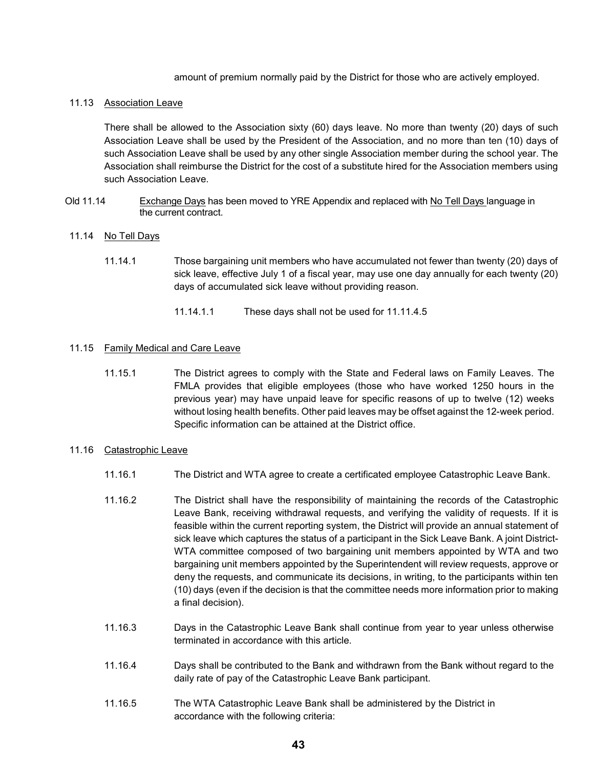amount of premium normally paid by the District for those who are actively employed.

#### 11.13 Association Leave

There shall be allowed to the Association sixty (60) days leave. No more than twenty (20) days of such Association Leave shall be used by the President of the Association, and no more than ten (10) days of such Association Leave shall be used by any other single Association member during the school year. The Association shall reimburse the District for the cost of a substitute hired for the Association members using such Association Leave.

Old 11.14 Exchange Days has been moved to YRE Appendix and replaced with No Tell Days language in the current contract.

#### 11.14 No Tell Days

- 11.14.1 Those bargaining unit members who have accumulated not fewer than twenty (20) days of sick leave, effective July 1 of a fiscal year, may use one day annually for each twenty (20) days of accumulated sick leave without providing reason.
	- 11.14.1.1 These days shall not be used for 11.11.4.5

#### 11.15 Family Medical and Care Leave

11.15.1 The District agrees to comply with the State and Federal laws on Family Leaves. The FMLA provides that eligible employees (those who have worked 1250 hours in the previous year) may have unpaid leave for specific reasons of up to twelve (12) weeks without losing health benefits. Other paid leaves may be offset against the 12-week period. Specific information can be attained at the District office.

#### 11.16 Catastrophic Leave

- 11.16.1 The District and WTA agree to create a certificated employee Catastrophic Leave Bank.
- 11.16.2 The District shall have the responsibility of maintaining the records of the Catastrophic Leave Bank, receiving withdrawal requests, and verifying the validity of requests. If it is feasible within the current reporting system, the District will provide an annual statement of sick leave which captures the status of a participant in the Sick Leave Bank. A joint District-WTA committee composed of two bargaining unit members appointed by WTA and two bargaining unit members appointed by the Superintendent will review requests, approve or deny the requests, and communicate its decisions, in writing, to the participants within ten (10) days (even if the decision is that the committee needs more information prior to making a final decision).
- 11.16.3 Days in the Catastrophic Leave Bank shall continue from year to year unless otherwise terminated in accordance with this article.
- 11.16.4 Days shall be contributed to the Bank and withdrawn from the Bank without regard to the daily rate of pay of the Catastrophic Leave Bank participant.
- 11.16.5 The WTA Catastrophic Leave Bank shall be administered by the District in accordance with the following criteria: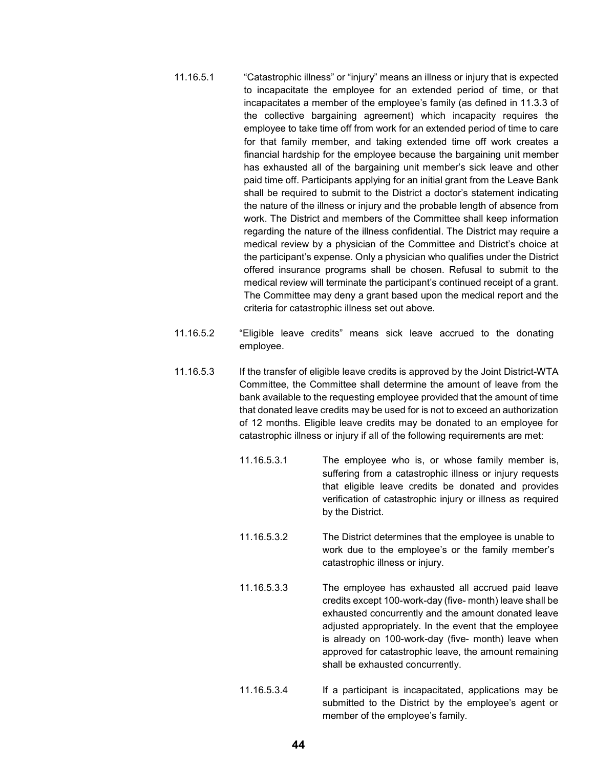- 11.16.5.1 "Catastrophic illness" or "injury" means an illness or injury that is expected to incapacitate the employee for an extended period of time, or that incapacitates a member of the employee's family (as defined in 11.3.3 of the collective bargaining agreement) which incapacity requires the employee to take time off from work for an extended period of time to care for that family member, and taking extended time off work creates a financial hardship for the employee because the bargaining unit member has exhausted all of the bargaining unit member's sick leave and other paid time off. Participants applying for an initial grant from the Leave Bank shall be required to submit to the District a doctor's statement indicating the nature of the illness or injury and the probable length of absence from work. The District and members of the Committee shall keep information regarding the nature of the illness confidential. The District may require a medical review by a physician of the Committee and District's choice at the participant's expense. Only a physician who qualifies under the District offered insurance programs shall be chosen. Refusal to submit to the medical review will terminate the participant's continued receipt of a grant. The Committee may deny a grant based upon the medical report and the criteria for catastrophic illness set out above.
- 11.16.5.2 "Eligible leave credits" means sick leave accrued to the donating employee.
- 11.16.5.3 If the transfer of eligible leave credits is approved by the Joint District-WTA Committee, the Committee shall determine the amount of leave from the bank available to the requesting employee provided that the amount of time that donated leave credits may be used for is not to exceed an authorization of 12 months. Eligible leave credits may be donated to an employee for catastrophic illness or injury if all of the following requirements are met:
	- 11.16.5.3.1 The employee who is, or whose family member is, suffering from a catastrophic illness or injury requests that eligible leave credits be donated and provides verification of catastrophic injury or illness as required by the District.
	- 11.16.5.3.2 The District determines that the employee is unable to work due to the employee's or the family member's catastrophic illness or injury.
	- 11.16.5.3.3 The employee has exhausted all accrued paid leave credits except 100-work-day (five- month) leave shall be exhausted concurrently and the amount donated leave adjusted appropriately. In the event that the employee is already on 100-work-day (five- month) leave when approved for catastrophic leave, the amount remaining shall be exhausted concurrently.
	- 11.16.5.3.4 If a participant is incapacitated, applications may be submitted to the District by the employee's agent or member of the employee's family.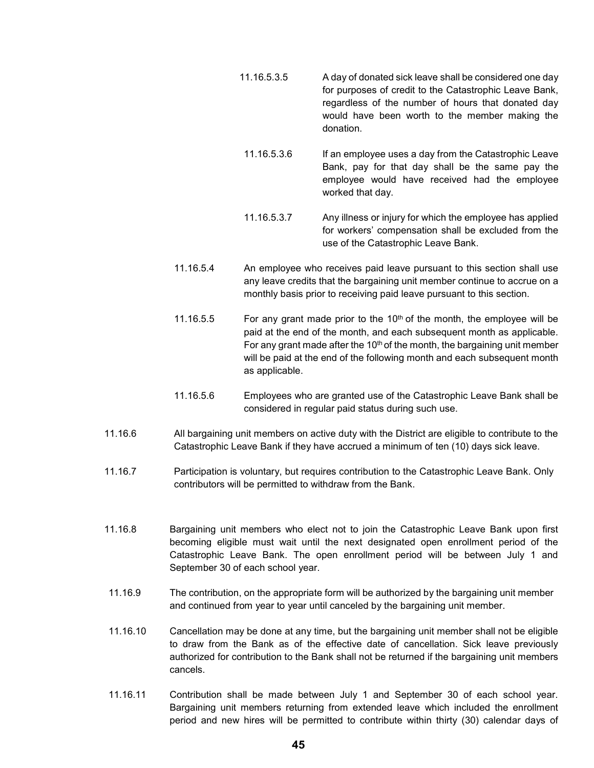- 11.16.5.3.5 A day of donated sick leave shall be considered one day for purposes of credit to the Catastrophic Leave Bank, regardless of the number of hours that donated day would have been worth to the member making the donation.
- 11.16.5.3.6 If an employee uses a day from the Catastrophic Leave Bank, pay for that day shall be the same pay the employee would have received had the employee worked that day.
- 11.16.5.3.7 Any illness or injury for which the employee has applied for workers' compensation shall be excluded from the use of the Catastrophic Leave Bank.
- 11.16.5.4 An employee who receives paid leave pursuant to this section shall use any leave credits that the bargaining unit member continue to accrue on a monthly basis prior to receiving paid leave pursuant to this section.
- 11.16.5.5 For any grant made prior to the  $10<sup>th</sup>$  of the month, the employee will be paid at the end of the month, and each subsequent month as applicable. For any grant made after the 10<sup>th</sup> of the month, the bargaining unit member will be paid at the end of the following month and each subsequent month as applicable.
- 11.16.5.6 Employees who are granted use of the Catastrophic Leave Bank shall be considered in regular paid status during such use.
- 11.16.6 All bargaining unit members on active duty with the District are eligible to contribute to the Catastrophic Leave Bank if they have accrued a minimum of ten (10) days sick leave.
- 11.16.7 Participation is voluntary, but requires contribution to the Catastrophic Leave Bank. Only contributors will be permitted to withdraw from the Bank.
- 11.16.8 Bargaining unit members who elect not to join the Catastrophic Leave Bank upon first becoming eligible must wait until the next designated open enrollment period of the Catastrophic Leave Bank. The open enrollment period will be between July 1 and September 30 of each school year.
- 11.16.9 The contribution, on the appropriate form will be authorized by the bargaining unit member and continued from year to year until canceled by the bargaining unit member.
- 11.16.10 Cancellation may be done at any time, but the bargaining unit member shall not be eligible to draw from the Bank as of the effective date of cancellation. Sick leave previously authorized for contribution to the Bank shall not be returned if the bargaining unit members cancels.
- 11.16.11 Contribution shall be made between July 1 and September 30 of each school year. Bargaining unit members returning from extended leave which included the enrollment period and new hires will be permitted to contribute within thirty (30) calendar days of